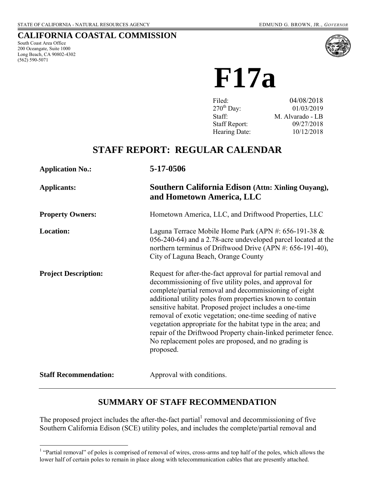### **CALIFORNIA COASTAL COMMISSION**

South Coast Area Office 200 Oceangate, Suite 1000 Long Beach, CA 90802-4302 (562) 590-5071



**F17a**

| 04/08/2018       |
|------------------|
| 01/03/2019       |
| M. Alvarado - LB |
| 09/27/2018       |
| 10/12/2018       |
|                  |

# **STAFF REPORT: REGULAR CALENDAR**

| <b>Application No.:</b>      | 5-17-0506                                                                                                                                                                                                                                                                                                                                                                                                                                                                                                                                                                  |
|------------------------------|----------------------------------------------------------------------------------------------------------------------------------------------------------------------------------------------------------------------------------------------------------------------------------------------------------------------------------------------------------------------------------------------------------------------------------------------------------------------------------------------------------------------------------------------------------------------------|
| <b>Applicants:</b>           | Southern California Edison (Attn: Xinling Ouyang),<br>and Hometown America, LLC                                                                                                                                                                                                                                                                                                                                                                                                                                                                                            |
| <b>Property Owners:</b>      | Hometown America, LLC, and Driftwood Properties, LLC                                                                                                                                                                                                                                                                                                                                                                                                                                                                                                                       |
| <b>Location:</b>             | Laguna Terrace Mobile Home Park (APN #: 656-191-38 &<br>056-240-64) and a 2.78-acre undeveloped parcel located at the<br>northern terminus of Driftwood Drive (APN #: 656-191-40),<br>City of Laguna Beach, Orange County                                                                                                                                                                                                                                                                                                                                                  |
| <b>Project Description:</b>  | Request for after-the-fact approval for partial removal and<br>decommissioning of five utility poles, and approval for<br>complete/partial removal and decommissioning of eight<br>additional utility poles from properties known to contain<br>sensitive habitat. Proposed project includes a one-time<br>removal of exotic vegetation; one-time seeding of native<br>vegetation appropriate for the habitat type in the area; and<br>repair of the Driftwood Property chain-linked perimeter fence.<br>No replacement poles are proposed, and no grading is<br>proposed. |
| <b>Staff Recommendation:</b> | Approval with conditions.                                                                                                                                                                                                                                                                                                                                                                                                                                                                                                                                                  |

# **SUMMARY OF STAFF RECOMMENDATION**

The proposed project includes the after-the-fact partial removal and decommissioning of five Southern California Edison (SCE) utility poles, and includes the complete/partial removal and

<sup>&</sup>lt;sup>1</sup> "Partial removal" of poles is comprised of removal of wires, cross-arms and top half of the poles, which allows the lower half of certain poles to remain in place along with telecommunication cables that are presently attached.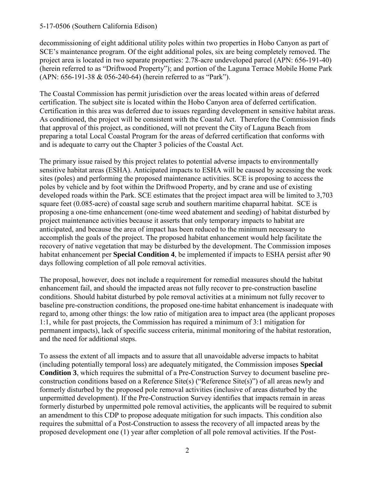decommissioning of eight additional utility poles within two properties in Hobo Canyon as part of SCE's maintenance program. Of the eight additional poles, six are being completely removed. The project area is located in two separate properties: 2.78-acre undeveloped parcel (APN: 656-191-40) (herein referred to as "Driftwood Property"); and portion of the Laguna Terrace Mobile Home Park (APN: 656-191-38 & 056-240-64) (herein referred to as "Park").

The Coastal Commission has permit jurisdiction over the areas located within areas of deferred certification. The subject site is located within the Hobo Canyon area of deferred certification. Certification in this area was deferred due to issues regarding development in sensitive habitat areas. As conditioned, the project will be consistent with the Coastal Act. Therefore the Commission finds that approval of this project, as conditioned, will not prevent the City of Laguna Beach from preparing a total Local Coastal Program for the areas of deferred certification that conforms with and is adequate to carry out the Chapter 3 policies of the Coastal Act.

The primary issue raised by this project relates to potential adverse impacts to environmentally sensitive habitat areas (ESHA). Anticipated impacts to ESHA will be caused by accessing the work sites (poles) and performing the proposed maintenance activities. SCE is proposing to access the poles by vehicle and by foot within the Driftwood Property, and by crane and use of existing developed roads within the Park. SCE estimates that the project impact area will be limited to 3,703 square feet (0.085-acre) of coastal sage scrub and southern maritime chaparral habitat. SCE is proposing a one-time enhancement (one-time weed abatement and seeding) of habitat disturbed by project maintenance activities because it asserts that only temporary impacts to habitat are anticipated, and because the area of impact has been reduced to the minimum necessary to accomplish the goals of the project. The proposed habitat enhancement would help facilitate the recovery of native vegetation that may be disturbed by the development. The Commission imposes habitat enhancement per **Special Condition 4**, be implemented if impacts to ESHA persist after 90 days following completion of all pole removal activities.

The proposal, however, does not include a requirement for remedial measures should the habitat enhancement fail, and should the impacted areas not fully recover to pre-construction baseline conditions. Should habitat disturbed by pole removal activities at a minimum not fully recover to baseline pre-construction conditions, the proposed one-time habitat enhancement is inadequate with regard to, among other things: the low ratio of mitigation area to impact area (the applicant proposes 1:1, while for past projects, the Commission has required a minimum of 3:1 mitigation for permanent impacts), lack of specific success criteria, minimal monitoring of the habitat restoration, and the need for additional steps.

To assess the extent of all impacts and to assure that all unavoidable adverse impacts to habitat (including potentially temporal loss) are adequately mitigated, the Commission imposes **Special Condition 3**, which requires the submittal of a Pre-Construction Survey to document baseline preconstruction conditions based on a Reference Site(s) ("Reference Site(s)") of all areas newly and formerly disturbed by the proposed pole removal activities (inclusive of areas disturbed by the unpermitted development). If the Pre-Construction Survey identifies that impacts remain in areas formerly disturbed by unpermitted pole removal activities, the applicants will be required to submit an amendment to this CDP to propose adequate mitigation for such impacts. This condition also requires the submittal of a Post-Construction to assess the recovery of all impacted areas by the proposed development one (1) year after completion of all pole removal activities. If the Post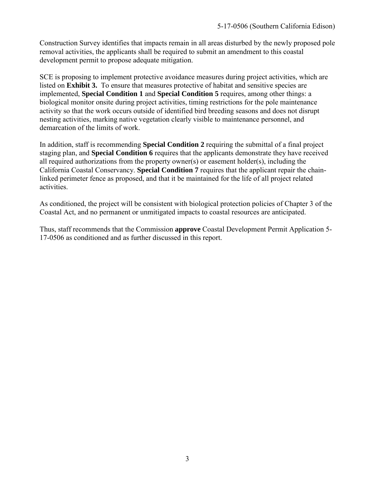Construction Survey identifies that impacts remain in all areas disturbed by the newly proposed pole removal activities, the applicants shall be required to submit an amendment to this coastal development permit to propose adequate mitigation.

SCE is proposing to implement protective avoidance measures during project activities, which are listed on **[Exhibit 3.](https://documents.coastal.ca.gov/reports/2018/10/f17a/f17a-10-2018-exhibits.pdf)** To ensure that measures protective of habitat and sensitive species are implemented, **Special Condition 1** and **Special Condition 5** requires, among other things: a biological monitor onsite during project activities, timing restrictions for the pole maintenance activity so that the work occurs outside of identified bird breeding seasons and does not disrupt nesting activities, marking native vegetation clearly visible to maintenance personnel, and demarcation of the limits of work.

In addition, staff is recommending **Special Condition 2** requiring the submittal of a final project staging plan, and **Special Condition 6** requires that the applicants demonstrate they have received all required authorizations from the property owner(s) or easement holder(s), including the California Coastal Conservancy. **Special Condition 7** requires that the applicant repair the chainlinked perimeter fence as proposed, and that it be maintained for the life of all project related activities.

As conditioned, the project will be consistent with biological protection policies of Chapter 3 of the Coastal Act, and no permanent or unmitigated impacts to coastal resources are anticipated.

Thus, staff recommends that the Commission **approve** Coastal Development Permit Application 5- 17-0506 as conditioned and as further discussed in this report.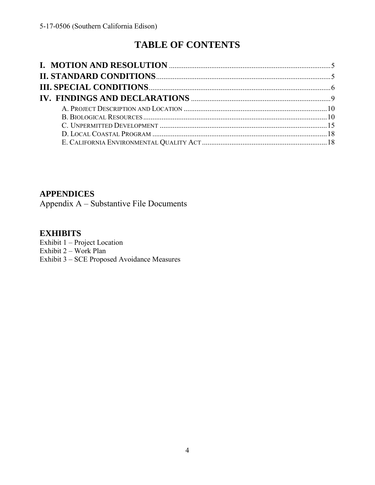# **TABLE OF CONTENTS**

### **APPENDICES**

Appendix A – Substantive File Documents

### **EXHIBITS**

Exhibit 1 – Project Location Exhibit 2 – Work Plan [Exhibit 3 – SCE Proposed Avoidance Measures](https://documents.coastal.ca.gov/reports/2018/10/f17a/f17a-10-2018-exhibits.pdf)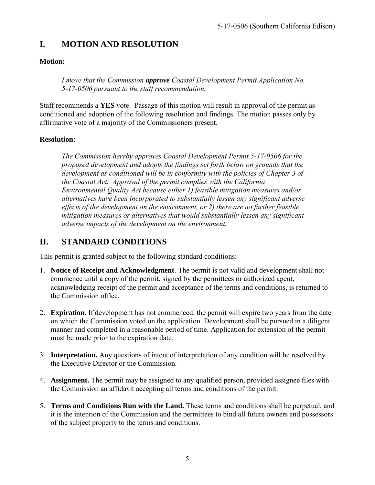# <span id="page-4-0"></span>**I. MOTION AND RESOLUTION**

### **Motion:**

*I move that the Commission approve Coastal Development Permit Application No. 5-17-0506 pursuant to the staff recommendation.*

Staff recommends a **YES** vote. Passage of this motion will result in approval of the permit as conditioned and adoption of the following resolution and findings. The motion passes only by affirmative vote of a majority of the Commissioners present.

### **Resolution:**

*The Commission hereby approves Coastal Development Permit 5-17-0506 for the proposed development and adopts the findings set forth below on grounds that the development as conditioned will be in conformity with the policies of Chapter 3 of the Coastal Act. Approval of the permit complies with the California Environmental Quality Act because either 1) feasible mitigation measures and/or alternatives have been incorporated to substantially lessen any significant adverse effects of the development on the environment, or 2) there are no further feasible mitigation measures or alternatives that would substantially lessen any significant adverse impacts of the development on the environment.* 

# <span id="page-4-1"></span>**II. STANDARD CONDITIONS**

This permit is granted subject to the following standard conditions:

- 1. **Notice of Receipt and Acknowledgment**. The permit is not valid and development shall not commence until a copy of the permit, signed by the permittees or authorized agent, acknowledging receipt of the permit and acceptance of the terms and conditions, is returned to the Commission office.
- 2. **Expiration.** If development has not commenced, the permit will expire two years from the date on which the Commission voted on the application. Development shall be pursued in a diligent manner and completed in a reasonable period of time. Application for extension of the permit must be made prior to the expiration date.
- 3. **Interpretation.** Any questions of intent of interpretation of any condition will be resolved by the Executive Director or the Commission.
- 4. **Assignment.** The permit may be assigned to any qualified person, provided assignee files with the Commission an affidavit accepting all terms and conditions of the permit.
- 5. **Terms and Conditions Run with the Land.** These terms and conditions shall be perpetual, and it is the intention of the Commission and the permittees to bind all future owners and possessors of the subject property to the terms and conditions.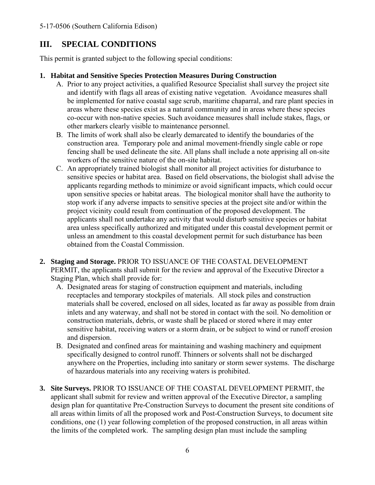# <span id="page-5-0"></span>**III. SPECIAL CONDITIONS**

This permit is granted subject to the following special conditions:

### **1. Habitat and Sensitive Species Protection Measures During Construction**

- A. Prior to any project activities, a qualified Resource Specialist shall survey the project site and identify with flags all areas of existing native vegetation. Avoidance measures shall be implemented for native coastal sage scrub, maritime chaparral, and rare plant species in areas where these species exist as a natural community and in areas where these species co-occur with non-native species. Such avoidance measures shall include stakes, flags, or other markers clearly visible to maintenance personnel.
- B. The limits of work shall also be clearly demarcated to identify the boundaries of the construction area. Temporary pole and animal movement-friendly single cable or rope fencing shall be used delineate the site. All plans shall include a note apprising all on-site workers of the sensitive nature of the on-site habitat.
- C. An appropriately trained biologist shall monitor all project activities for disturbance to sensitive species or habitat area. Based on field observations, the biologist shall advise the applicants regarding methods to minimize or avoid significant impacts, which could occur upon sensitive species or habitat areas. The biological monitor shall have the authority to stop work if any adverse impacts to sensitive species at the project site and/or within the project vicinity could result from continuation of the proposed development. The applicants shall not undertake any activity that would disturb sensitive species or habitat area unless specifically authorized and mitigated under this coastal development permit or unless an amendment to this coastal development permit for such disturbance has been obtained from the Coastal Commission.
- **2. Staging and Storage.** PRIOR TO ISSUANCE OF THE COASTAL DEVELOPMENT PERMIT, the applicants shall submit for the review and approval of the Executive Director a Staging Plan, which shall provide for:
	- A. Designated areas for staging of construction equipment and materials, including receptacles and temporary stockpiles of materials. All stock piles and construction materials shall be covered, enclosed on all sides, located as far away as possible from drain inlets and any waterway, and shall not be stored in contact with the soil. No demolition or construction materials, debris, or waste shall be placed or stored where it may enter sensitive habitat, receiving waters or a storm drain, or be subject to wind or runoff erosion and dispersion.
	- B. Designated and confined areas for maintaining and washing machinery and equipment specifically designed to control runoff. Thinners or solvents shall not be discharged anywhere on the Properties, including into sanitary or storm sewer systems. The discharge of hazardous materials into any receiving waters is prohibited.
- **3. Site Surveys.** PRIOR TO ISSUANCE OF THE COASTAL DEVELOPMENT PERMIT, the applicant shall submit for review and written approval of the Executive Director, a sampling design plan for quantitative Pre-Construction Surveys to document the present site conditions of all areas within limits of all the proposed work and Post-Construction Surveys, to document site conditions, one (1) year following completion of the proposed construction, in all areas within the limits of the completed work. The sampling design plan must include the sampling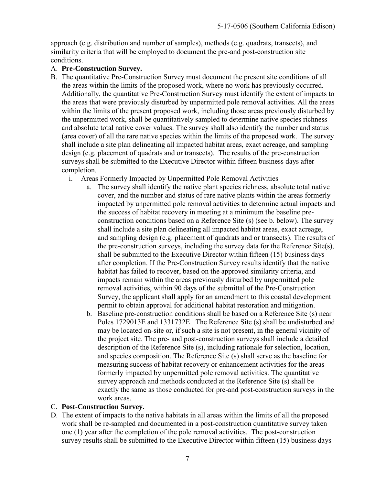approach (e.g. distribution and number of samples), methods (e.g. quadrats, transects), and similarity criteria that will be employed to document the pre-and post-construction site conditions.

#### A. **Pre-Construction Survey.**

- B. The quantitative Pre-Construction Survey must document the present site conditions of all the areas within the limits of the proposed work, where no work has previously occurred. Additionally, the quantitative Pre-Construction Survey must identify the extent of impacts to the areas that were previously disturbed by unpermitted pole removal activities. All the areas within the limits of the present proposed work, including those areas previously disturbed by the unpermitted work, shall be quantitatively sampled to determine native species richness and absolute total native cover values. The survey shall also identify the number and status (area cover) of all the rare native species within the limits of the proposed work. The survey shall include a site plan delineating all impacted habitat areas, exact acreage, and sampling design (e.g. placement of quadrats and or transects). The results of the pre-construction surveys shall be submitted to the Executive Director within fifteen business days after completion.
	- i. Areas Formerly Impacted by Unpermitted Pole Removal Activities
		- a. The survey shall identify the native plant species richness, absolute total native cover, and the number and status of rare native plants within the areas formerly impacted by unpermitted pole removal activities to determine actual impacts and the success of habitat recovery in meeting at a minimum the baseline preconstruction conditions based on a Reference Site (s) (see b. below). The survey shall include a site plan delineating all impacted habitat areas, exact acreage, and sampling design (e.g. placement of quadrats and or transects). The results of the pre-construction surveys, including the survey data for the Reference Site(s), shall be submitted to the Executive Director within fifteen (15) business days after completion. If the Pre-Construction Survey results identify that the native habitat has failed to recover, based on the approved similarity criteria, and impacts remain within the areas previously disturbed by unpermitted pole removal activities, within 90 days of the submittal of the Pre-Construction Survey, the applicant shall apply for an amendment to this coastal development permit to obtain approval for additional habitat restoration and mitigation.
		- b. Baseline pre-construction conditions shall be based on a Reference Site (s) near Poles 1729013E and 1331732E. The Reference Site (s) shall be undisturbed and may be located on-site or, if such a site is not present, in the general vicinity of the project site. The pre- and post-construction surveys shall include a detailed description of the Reference Site (s), including rationale for selection, location, and species composition. The Reference Site (s) shall serve as the baseline for measuring success of habitat recovery or enhancement activities for the areas formerly impacted by unpermitted pole removal activities. The quantitative survey approach and methods conducted at the Reference Site (s) shall be exactly the same as those conducted for pre-and post-construction surveys in the work areas.

### C. **Post-Construction Survey.**

D. The extent of impacts to the native habitats in all areas within the limits of all the proposed work shall be re-sampled and documented in a post-construction quantitative survey taken one (1) year after the completion of the pole removal activities. The post-construction survey results shall be submitted to the Executive Director within fifteen (15) business days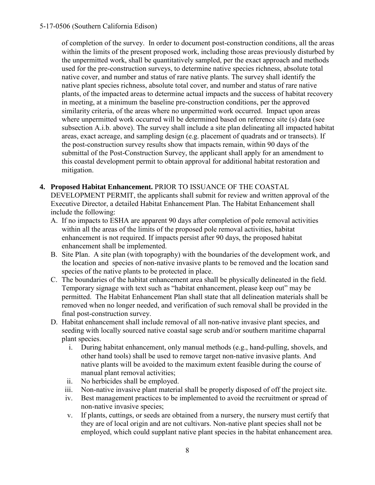of completion of the survey. In order to document post-construction conditions, all the areas within the limits of the present proposed work, including those areas previously disturbed by the unpermitted work, shall be quantitatively sampled, per the exact approach and methods used for the pre-construction surveys, to determine native species richness, absolute total native cover, and number and status of rare native plants. The survey shall identify the native plant species richness, absolute total cover, and number and status of rare native plants, of the impacted areas to determine actual impacts and the success of habitat recovery in meeting, at a minimum the baseline pre-construction conditions, per the approved similarity criteria, of the areas where no unpermitted work occurred. Impact upon areas where unpermitted work occurred will be determined based on reference site (s) data (see subsection A.i.b. above). The survey shall include a site plan delineating all impacted habitat areas, exact acreage, and sampling design (e.g. placement of quadrats and or transects). If the post-construction survey results show that impacts remain, within 90 days of the submittal of the Post-Construction Survey, the applicant shall apply for an amendment to this coastal development permit to obtain approval for additional habitat restoration and mitigation.

- **4. Proposed Habitat Enhancement.** PRIOR TO ISSUANCE OF THE COASTAL DEVELOPMENT PERMIT, the applicants shall submit for review and written approval of the Executive Director, a detailed Habitat Enhancement Plan. The Habitat Enhancement shall include the following:
	- A. If no impacts to ESHA are apparent 90 days after completion of pole removal activities within all the areas of the limits of the proposed pole removal activities, habitat enhancement is not required. If impacts persist after 90 days, the proposed habitat enhancement shall be implemented.
	- B. Site Plan. A site plan (with topography) with the boundaries of the development work, and the location and species of non-native invasive plants to be removed and the location sand species of the native plants to be protected in place.
	- C. The boundaries of the habitat enhancement area shall be physically delineated in the field. Temporary signage with text such as "habitat enhancement, please keep out" may be permitted. The Habitat Enhancement Plan shall state that all delineation materials shall be removed when no longer needed, and verification of such removal shall be provided in the final post-construction survey.
	- D. Habitat enhancement shall include removal of all non-native invasive plant species, and seeding with locally sourced native coastal sage scrub and/or southern maritime chaparral plant species.
		- i. During habitat enhancement, only manual methods (e.g., hand-pulling, shovels, and other hand tools) shall be used to remove target non-native invasive plants. And native plants will be avoided to the maximum extent feasible during the course of manual plant removal activities;
		- ii. No herbicides shall be employed.
		- iii. Non-native invasive plant material shall be properly disposed of off the project site.
		- iv. Best management practices to be implemented to avoid the recruitment or spread of non-native invasive species;
		- v. If plants, cuttings, or seeds are obtained from a nursery, the nursery must certify that they are of local origin and are not cultivars. Non-native plant species shall not be employed, which could supplant native plant species in the habitat enhancement area.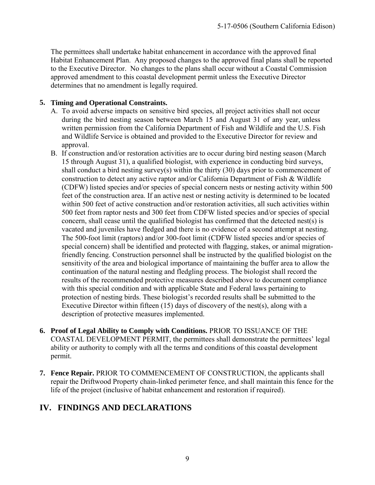The permittees shall undertake habitat enhancement in accordance with the approved final Habitat Enhancement Plan. Any proposed changes to the approved final plans shall be reported to the Executive Director. No changes to the plans shall occur without a Coastal Commission approved amendment to this coastal development permit unless the Executive Director determines that no amendment is legally required.

#### **5. Timing and Operational Constraints.**

- A. To avoid adverse impacts on sensitive bird species, all project activities shall not occur during the bird nesting season between March 15 and August 31 of any year, unless written permission from the California Department of Fish and Wildlife and the U.S. Fish and Wildlife Service is obtained and provided to the Executive Director for review and approval.
- B. If construction and/or restoration activities are to occur during bird nesting season (March 15 through August 31), a qualified biologist, with experience in conducting bird surveys, shall conduct a bird nesting survey(s) within the thirty (30) days prior to commencement of construction to detect any active raptor and/or California Department of Fish & Wildlife (CDFW) listed species and/or species of special concern nests or nesting activity within 500 feet of the construction area. If an active nest or nesting activity is determined to be located within 500 feet of active construction and/or restoration activities, all such activities within 500 feet from raptor nests and 300 feet from CDFW listed species and/or species of special concern, shall cease until the qualified biologist has confirmed that the detected nest(s) is vacated and juveniles have fledged and there is no evidence of a second attempt at nesting. The 500-foot limit (raptors) and/or 300-foot limit (CDFW listed species and/or species of special concern) shall be identified and protected with flagging, stakes, or animal migrationfriendly fencing. Construction personnel shall be instructed by the qualified biologist on the sensitivity of the area and biological importance of maintaining the buffer area to allow the continuation of the natural nesting and fledgling process. The biologist shall record the results of the recommended protective measures described above to document compliance with this special condition and with applicable State and Federal laws pertaining to protection of nesting birds. These biologist's recorded results shall be submitted to the Executive Director within fifteen (15) days of discovery of the nest(s), along with a description of protective measures implemented.
- **6. Proof of Legal Ability to Comply with Conditions.** PRIOR TO ISSUANCE OF THE COASTAL DEVELOPMENT PERMIT, the permittees shall demonstrate the permittees' legal ability or authority to comply with all the terms and conditions of this coastal development permit.
- **7. Fence Repair.** PRIOR TO COMMENCEMENT OF CONSTRUCTION, the applicants shall repair the Driftwood Property chain-linked perimeter fence, and shall maintain this fence for the life of the project (inclusive of habitat enhancement and restoration if required).

# <span id="page-8-0"></span>**IV. FINDINGS AND DECLARATIONS**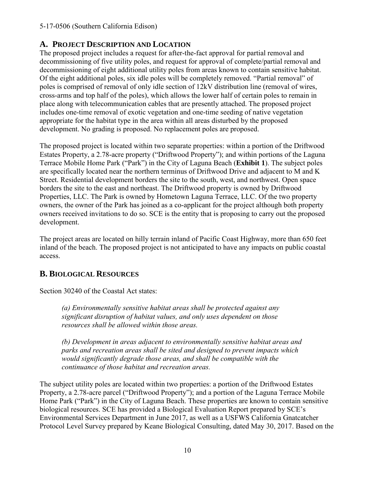### <span id="page-9-0"></span>**A. PROJECT DESCRIPTION AND LOCATION**

The proposed project includes a request for after-the-fact approval for partial removal and decommissioning of five utility poles, and request for approval of complete/partial removal and decommissioning of eight additional utility poles from areas known to contain sensitive habitat. Of the eight additional poles, six idle poles will be completely removed. "Partial removal" of poles is comprised of removal of only idle section of 12kV distribution line (removal of wires, cross-arms and top half of the poles), which allows the lower half of certain poles to remain in place along with telecommunication cables that are presently attached. The proposed project includes one-time removal of exotic vegetation and one-time seeding of native vegetation appropriate for the habitat type in the area within all areas disturbed by the proposed development. No grading is proposed. No replacement poles are proposed.

The proposed project is located within two separate properties: within a portion of the Driftwood Estates Property, a 2.78-acre property ("Driftwood Property"); and within portions of the Laguna Terrace Mobile Home Park ("Park") in the City of Laguna Beach (**[Exhibit 1](https://documents.coastal.ca.gov/reports/2018/10/f17a/f17a-10-2018-exhibits.pdf)**). The subject poles are specifically located near the northern terminus of Driftwood Drive and adjacent to M and K Street. Residential development borders the site to the south, west, and northwest. Open space borders the site to the east and northeast. The Driftwood property is owned by Driftwood Properties, LLC. The Park is owned by Hometown Laguna Terrace, LLC. Of the two property owners, the owner of the Park has joined as a co-applicant for the project although both property owners received invitations to do so. SCE is the entity that is proposing to carry out the proposed development.

The project areas are located on hilly terrain inland of Pacific Coast Highway, more than 650 feet inland of the beach. The proposed project is not anticipated to have any impacts on public coastal access.

# <span id="page-9-1"></span>**B. BIOLOGICAL RESOURCES**

Section 30240 of the Coastal Act states:

*(a) Environmentally sensitive habitat areas shall be protected against any significant disruption of habitat values, and only uses dependent on those resources shall be allowed within those areas.* 

*(b) Development in areas adjacent to environmentally sensitive habitat areas and parks and recreation areas shall be sited and designed to prevent impacts which would significantly degrade those areas, and shall be compatible with the continuance of those habitat and recreation areas.* 

The subject utility poles are located within two properties: a portion of the Driftwood Estates Property, a 2.78-acre parcel ("Driftwood Property"); and a portion of the Laguna Terrace Mobile Home Park ("Park") in the City of Laguna Beach. These properties are known to contain sensitive biological resources. SCE has provided a Biological Evaluation Report prepared by SCE's Environmental Services Department in June 2017, as well as a USFWS California Gnatcatcher Protocol Level Survey prepared by Keane Biological Consulting, dated May 30, 2017. Based on the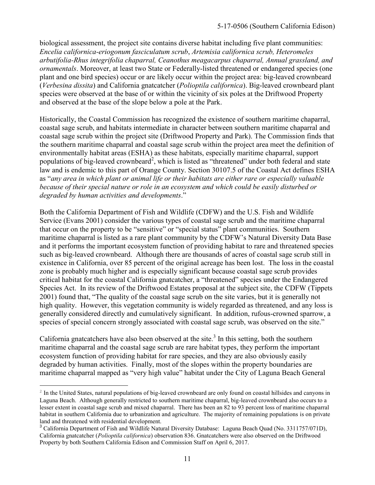biological assessment, the project site contains diverse habitat including five plant communities: *Encelia californica-eriogonum fasciculatum scrub*, *Artemisia californica scrub, Heteromeles arbutifolia-Rhus integrifolia chaparral, Ceanothus meagacarpus chaparral, Annual grassland, and ornamentals*. Moreover, at least two State or Federally-listed threatened or endangered species (one plant and one bird species) occur or are likely occur within the project area: big-leaved crownbeard (*Verbesina dissita*) and California gnatcatcher (*Polioptila californica*). Big-leaved crownbeard plant species were observed at the base of or within the vicinity of six poles at the Driftwood Property and observed at the base of the slope below a pole at the Park.

Historically, the Coastal Commission has recognized the existence of southern maritime chaparral, coastal sage scrub, and habitats intermediate in character between southern maritime chaparral and coastal sage scrub within the project site (Driftwood Property and Park). The Commission finds that the southern maritime chaparral and coastal sage scrub within the project area meet the definition of environmentally habitat areas (ESHA) as these habitats, especially maritime chaparral, support populations of big-leaved crownbeard<sup>2</sup>, which is listed as "threatened" under both federal and state law and is endemic to this part of Orange County. Section 30107.5 of the Coastal Act defines ESHA as "*any area in which plant or animal life or their habitats are either rare or especially valuable because of their special nature or role in an ecosystem and which could be easily disturbed or degraded by human activities and developments*."

Both the California Department of Fish and Wildlife (CDFW) and the U.S. Fish and Wildlife Service (Evans 2001) consider the various types of coastal sage scrub and the maritime chaparral that occur on the property to be "sensitive" or "special status" plant communities. Southern maritime chaparral is listed as a rare plant community by the CDFW's Natural Diversity Data Base and it performs the important ecosystem function of providing habitat to rare and threatened species such as big-leaved crownbeard. Although there are thousands of acres of coastal sage scrub still in existence in California, over 85 percent of the original acreage has been lost. The loss in the coastal zone is probably much higher and is especially significant because coastal sage scrub provides critical habitat for the coastal California gnatcatcher, a "threatened" species under the Endangered Species Act. In its review of the Driftwood Estates proposal at the subject site, the CDFW (Tippets 2001) found that, "The quality of the coastal sage scrub on the site varies, but it is generally not high quality. However, this vegetation community is widely regarded as threatened, and any loss is generally considered directly and cumulatively significant. In addition, rufous-crowned sparrow, a species of special concern strongly associated with coastal sage scrub, was observed on the site."

California gnatcatchers have also been observed at the site.<sup>3</sup> In this setting, both the southern maritime chaparral and the coastal sage scrub are rare habitat types, they perform the important ecosystem function of providing habitat for rare species, and they are also obviously easily degraded by human activities. Finally, most of the slopes within the property boundaries are maritime chaparral mapped as "very high value" habitat under the City of Laguna Beach General

 $\overline{a}$ 

<sup>&</sup>lt;sup>2</sup> In the United States, natural populations of big-leaved crownbeard are only found on coastal hillsides and canyons in Laguna Beach. Although generally restricted to southern maritime chaparral, big-leaved crownbeard also occurs to a lesser extent in coastal sage scrub and mixed chaparral. There has been an 82 to 93 percent loss of maritime chaparral habitat in southern California due to urbanization and agriculture. The majority of remaining populations is on private land and threatened with residential development.

<sup>&</sup>lt;sup>3</sup> California Department of Fish and Wildlife Natural Diversity Database: Laguna Beach Quad (No. 3311757/071D), California gnatcatcher (*Polioptila californica*) observation 836. Gnatcatchers were also observed on the Driftwood Property by both Southern California Edison and Commission Staff on April 6, 2017.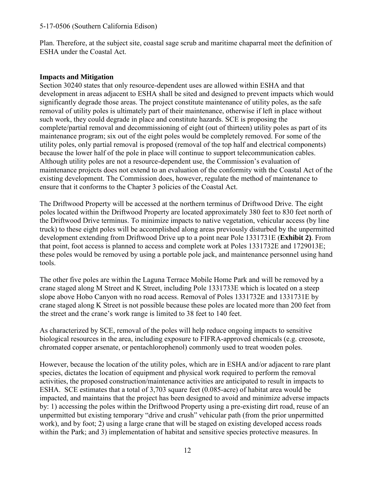Plan. Therefore, at the subject site, coastal sage scrub and maritime chaparral meet the definition of ESHA under the Coastal Act.

### **Impacts and Mitigation**

Section 30240 states that only resource-dependent uses are allowed within ESHA and that development in areas adjacent to ESHA shall be sited and designed to prevent impacts which would significantly degrade those areas. The project constitute maintenance of utility poles, as the safe removal of utility poles is ultimately part of their maintenance, otherwise if left in place without such work, they could degrade in place and constitute hazards. SCE is proposing the complete/partial removal and decommissioning of eight (out of thirteen) utility poles as part of its maintenance program; six out of the eight poles would be completely removed. For some of the utility poles, only partial removal is proposed (removal of the top half and electrical components) because the lower half of the pole in place will continue to support telecommunication cables. Although utility poles are not a resource-dependent use, the Commission's evaluation of maintenance projects does not extend to an evaluation of the conformity with the Coastal Act of the existing development. The Commission does, however, regulate the method of maintenance to ensure that it conforms to the Chapter 3 policies of the Coastal Act.

The Driftwood Property will be accessed at the northern terminus of Driftwood Drive. The eight poles located within the Driftwood Property are located approximately 380 feet to 830 feet north of the Driftwood Drive terminus. To minimize impacts to native vegetation, vehicular access (by line truck) to these eight poles will be accomplished along areas previously disturbed by the unpermitted development extending from Driftwood Drive up to a point near Pole 1331731E (**[Exhibit 2\)](https://documents.coastal.ca.gov/reports/2018/10/f17a/f17a-10-2018-exhibits.pdf)**. From that point, foot access is planned to access and complete work at Poles 1331732E and 1729013E; these poles would be removed by using a portable pole jack, and maintenance personnel using hand tools.

The other five poles are within the Laguna Terrace Mobile Home Park and will be removed by a crane staged along M Street and K Street, including Pole 1331733E which is located on a steep slope above Hobo Canyon with no road access. Removal of Poles 1331732E and 1331731E by crane staged along K Street is not possible because these poles are located more than 200 feet from the street and the crane's work range is limited to 38 feet to 140 feet.

As characterized by SCE, removal of the poles will help reduce ongoing impacts to sensitive biological resources in the area, including exposure to FIFRA-approved chemicals (e.g. creosote, chromated copper arsenate, or pentachlorophenol) commonly used to treat wooden poles.

However, because the location of the utility poles, which are in ESHA and/or adjacent to rare plant species, dictates the location of equipment and physical work required to perform the removal activities, the proposed construction/maintenance activities are anticipated to result in impacts to ESHA. SCE estimates that a total of 3,703 square feet (0.085-acre) of habitat area would be impacted, and maintains that the project has been designed to avoid and minimize adverse impacts by: 1) accessing the poles within the Driftwood Property using a pre-existing dirt road, reuse of an unpermitted but existing temporary "drive and crush" vehicular path (from the prior unpermitted work), and by foot; 2) using a large crane that will be staged on existing developed access roads within the Park; and 3) implementation of habitat and sensitive species protective measures. In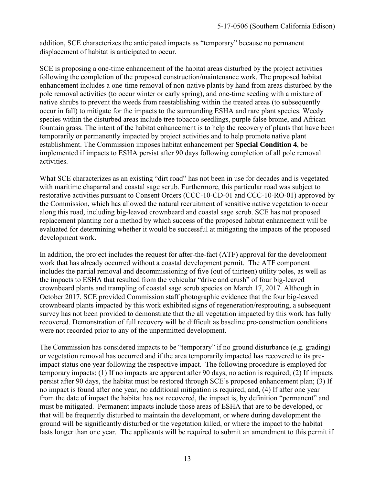addition, SCE characterizes the anticipated impacts as "temporary" because no permanent displacement of habitat is anticipated to occur.

SCE is proposing a one-time enhancement of the habitat areas disturbed by the project activities following the completion of the proposed construction/maintenance work. The proposed habitat enhancement includes a one-time removal of non-native plants by hand from areas disturbed by the pole removal activities (to occur winter or early spring), and one-time seeding with a mixture of native shrubs to prevent the weeds from reestablishing within the treated areas (to subsequently occur in fall) to mitigate for the impacts to the surrounding ESHA and rare plant species. Weedy species within the disturbed areas include tree tobacco seedlings, purple false brome, and African fountain grass. The intent of the habitat enhancement is to help the recovery of plants that have been temporarily or permanently impacted by project activities and to help promote native plant establishment. The Commission imposes habitat enhancement per **Special Condition 4**, be implemented if impacts to ESHA persist after 90 days following completion of all pole removal activities.

What SCE characterizes as an existing "dirt road" has not been in use for decades and is vegetated with maritime chaparral and coastal sage scrub. Furthermore, this particular road was subject to restorative activities pursuant to Consent Orders (CCC-10-CD-01 and CCC-10-RO-01) approved by the Commission, which has allowed the natural recruitment of sensitive native vegetation to occur along this road, including big-leaved crownbeard and coastal sage scrub. SCE has not proposed replacement planting nor a method by which success of the proposed habitat enhancement will be evaluated for determining whether it would be successful at mitigating the impacts of the proposed development work.

In addition, the project includes the request for after-the-fact (ATF) approval for the development work that has already occurred without a coastal development permit. The ATF component includes the partial removal and decommissioning of five (out of thirteen) utility poles, as well as the impacts to ESHA that resulted from the vehicular "drive and crush" of four big-leaved crownbeard plants and trampling of coastal sage scrub species on March 17, 2017. Although in October 2017, SCE provided Commission staff photographic evidence that the four big-leaved crownbeard plants impacted by this work exhibited signs of regeneration/resprouting, a subsequent survey has not been provided to demonstrate that the all vegetation impacted by this work has fully recovered. Demonstration of full recovery will be difficult as baseline pre-construction conditions were not recorded prior to any of the unpermitted development.

The Commission has considered impacts to be "temporary" if no ground disturbance (e.g. grading) or vegetation removal has occurred and if the area temporarily impacted has recovered to its preimpact status one year following the respective impact. The following procedure is employed for temporary impacts: (1) If no impacts are apparent after 90 days, no action is required; (2) If impacts persist after 90 days, the habitat must be restored through SCE's proposed enhancement plan; (3) If no impact is found after one year, no additional mitigation is required; and, (4) If after one year from the date of impact the habitat has not recovered, the impact is, by definition "permanent" and must be mitigated. Permanent impacts include those areas of ESHA that are to be developed, or that will be frequently disturbed to maintain the development, or where during development the ground will be significantly disturbed or the vegetation killed, or where the impact to the habitat lasts longer than one year. The applicants will be required to submit an amendment to this permit if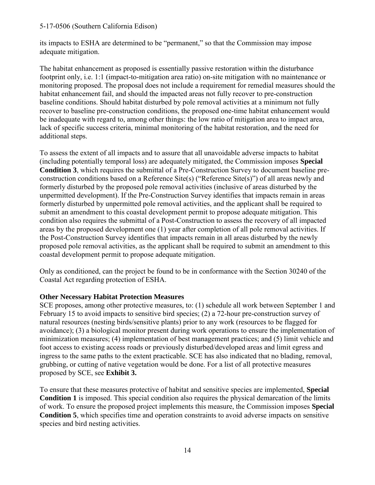its impacts to ESHA are determined to be "permanent," so that the Commission may impose adequate mitigation.

The habitat enhancement as proposed is essentially passive restoration within the disturbance footprint only, i.e. 1:1 (impact-to-mitigation area ratio) on-site mitigation with no maintenance or monitoring proposed. The proposal does not include a requirement for remedial measures should the habitat enhancement fail, and should the impacted areas not fully recover to pre-construction baseline conditions. Should habitat disturbed by pole removal activities at a minimum not fully recover to baseline pre-construction conditions, the proposed one-time habitat enhancement would be inadequate with regard to, among other things: the low ratio of mitigation area to impact area, lack of specific success criteria, minimal monitoring of the habitat restoration, and the need for additional steps.

To assess the extent of all impacts and to assure that all unavoidable adverse impacts to habitat (including potentially temporal loss) are adequately mitigated, the Commission imposes **Special Condition 3**, which requires the submittal of a Pre-Construction Survey to document baseline preconstruction conditions based on a Reference Site(s) ("Reference Site(s)") of all areas newly and formerly disturbed by the proposed pole removal activities (inclusive of areas disturbed by the unpermitted development). If the Pre-Construction Survey identifies that impacts remain in areas formerly disturbed by unpermitted pole removal activities, and the applicant shall be required to submit an amendment to this coastal development permit to propose adequate mitigation. This condition also requires the submittal of a Post-Construction to assess the recovery of all impacted areas by the proposed development one (1) year after completion of all pole removal activities. If the Post-Construction Survey identifies that impacts remain in all areas disturbed by the newly proposed pole removal activities, as the applicant shall be required to submit an amendment to this coastal development permit to propose adequate mitigation.

Only as conditioned, can the project be found to be in conformance with the Section 30240 of the Coastal Act regarding protection of ESHA.

#### **Other Necessary Habitat Protection Measures**

SCE proposes, among other protective measures, to: (1) schedule all work between September 1 and February 15 to avoid impacts to sensitive bird species; (2) a 72-hour pre-construction survey of natural resources (nesting birds/sensitive plants) prior to any work (resources to be flagged for avoidance); (3) a biological monitor present during work operations to ensure the implementation of minimization measures; (4) implementation of best management practices; and (5) limit vehicle and foot access to existing access roads or previously disturbed/developed areas and limit egress and ingress to the same paths to the extent practicable. SCE has also indicated that no blading, removal, grubbing, or cutting of native vegetation would be done. For a list of all protective measures proposed by SCE, see **[Exhibit 3.](https://documents.coastal.ca.gov/reports/2018/10/f17a/f17a-10-2018-exhibits.pdf)** 

To ensure that these measures protective of habitat and sensitive species are implemented, **Special Condition 1** is imposed. This special condition also requires the physical demarcation of the limits of work. To ensure the proposed project implements this measure, the Commission imposes **Special Condition 5**, which specifies time and operation constraints to avoid adverse impacts on sensitive species and bird nesting activities.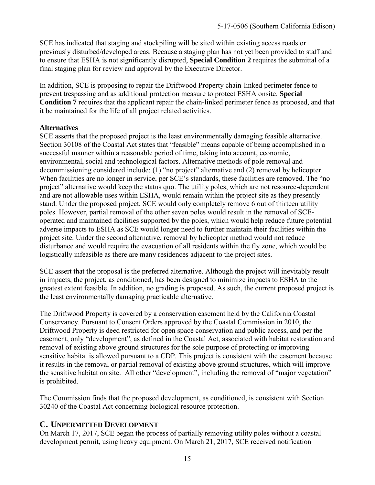SCE has indicated that staging and stockpiling will be sited within existing access roads or previously disturbed/developed areas. Because a staging plan has not yet been provided to staff and to ensure that ESHA is not significantly disrupted, **Special Condition 2** requires the submittal of a final staging plan for review and approval by the Executive Director.

In addition, SCE is proposing to repair the Driftwood Property chain-linked perimeter fence to prevent trespassing and as additional protection measure to protect ESHA onsite. **Special Condition 7** requires that the applicant repair the chain-linked perimeter fence as proposed, and that it be maintained for the life of all project related activities.

### **Alternatives**

SCE asserts that the proposed project is the least environmentally damaging feasible alternative. Section 30108 of the Coastal Act states that "feasible" means capable of being accomplished in a successful manner within a reasonable period of time, taking into account, economic, environmental, social and technological factors. Alternative methods of pole removal and decommissioning considered include: (1) "no project" alternative and (2) removal by helicopter. When facilities are no longer in service, per SCE's standards, these facilities are removed. The "no project" alternative would keep the status quo. The utility poles, which are not resource-dependent and are not allowable uses within ESHA, would remain within the project site as they presently stand. Under the proposed project, SCE would only completely remove 6 out of thirteen utility poles. However, partial removal of the other seven poles would result in the removal of SCEoperated and maintained facilities supported by the poles, which would help reduce future potential adverse impacts to ESHA as SCE would longer need to further maintain their facilities within the project site. Under the second alternative, removal by helicopter method would not reduce disturbance and would require the evacuation of all residents within the fly zone, which would be logistically infeasible as there are many residences adjacent to the project sites.

SCE assert that the proposal is the preferred alternative. Although the project will inevitably result in impacts, the project, as conditioned, has been designed to minimize impacts to ESHA to the greatest extent feasible. In addition, no grading is proposed. As such, the current proposed project is the least environmentally damaging practicable alternative.

The Driftwood Property is covered by a conservation easement held by the California Coastal Conservancy. Pursuant to Consent Orders approved by the Coastal Commission in 2010, the Driftwood Property is deed restricted for open space conservation and public access, and per the easement, only "development", as defined in the Coastal Act, associated with habitat restoration and removal of existing above ground structures for the sole purpose of protecting or improving sensitive habitat is allowed pursuant to a CDP. This project is consistent with the easement because it results in the removal or partial removal of existing above ground structures, which will improve the sensitive habitat on site. All other "development", including the removal of "major vegetation" is prohibited.

The Commission finds that the proposed development, as conditioned, is consistent with Section 30240 of the Coastal Act concerning biological resource protection.

### <span id="page-14-0"></span>**C. UNPERMITTED DEVELOPMENT**

On March 17, 2017, SCE began the process of partially removing utility poles without a coastal development permit, using heavy equipment. On March 21, 2017, SCE received notification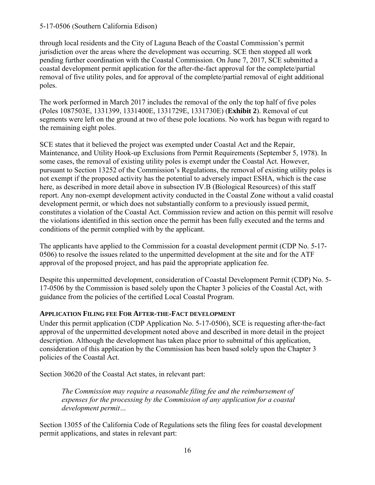through local residents and the City of Laguna Beach of the Coastal Commission's permit jurisdiction over the areas where the development was occurring. SCE then stopped all work pending further coordination with the Coastal Commission. On June 7, 2017, SCE submitted a coastal development permit application for the after-the-fact approval for the complete/partial removal of five utility poles, and for approval of the complete/partial removal of eight additional poles.

The work performed in March 2017 includes the removal of the only the top half of five poles (Poles 1087503E, 1331399, 1331400E, 1331729E, 1331730E) (**[Exhibit 2](https://documents.coastal.ca.gov/reports/2018/10/f17a/f17a-10-2018-exhibits.pdf)**). Removal of cut segments were left on the ground at two of these pole locations. No work has begun with regard to the remaining eight poles.

SCE states that it believed the project was exempted under Coastal Act and the Repair, Maintenance, and Utility Hook-up Exclusions from Permit Requirements (September 5, 1978). In some cases, the removal of existing utility poles is exempt under the Coastal Act. However, pursuant to Section 13252 of the Commission's Regulations, the removal of existing utility poles is not exempt if the proposed activity has the potential to adversely impact ESHA, which is the case here, as described in more detail above in subsection IV.B (Biological Resources) of this staff report. Any non-exempt development activity conducted in the Coastal Zone without a valid coastal development permit, or which does not substantially conform to a previously issued permit, constitutes a violation of the Coastal Act. Commission review and action on this permit will resolve the violations identified in this section once the permit has been fully executed and the terms and conditions of the permit complied with by the applicant.

The applicants have applied to the Commission for a coastal development permit (CDP No. 5-17- 0506) to resolve the issues related to the unpermitted development at the site and for the ATF approval of the proposed project, and has paid the appropriate application fee.

Despite this unpermitted development, consideration of Coastal Development Permit (CDP) No. 5- 17-0506 by the Commission is based solely upon the Chapter 3 policies of the Coastal Act, with guidance from the policies of the certified Local Coastal Program.

#### **APPLICATION FILING FEE FOR AFTER-THE-FACT DEVELOPMENT**

Under this permit application (CDP Application No. 5-17-0506), SCE is requesting after-the-fact approval of the unpermitted development noted above and described in more detail in the project description. Although the development has taken place prior to submittal of this application, consideration of this application by the Commission has been based solely upon the Chapter 3 policies of the Coastal Act.

Section 30620 of the Coastal Act states, in relevant part:

*The Commission may require a reasonable filing fee and the reimbursement of expenses for the processing by the Commission of any application for a coastal development permit…* 

Section 13055 of the California Code of Regulations sets the filing fees for coastal development permit applications, and states in relevant part: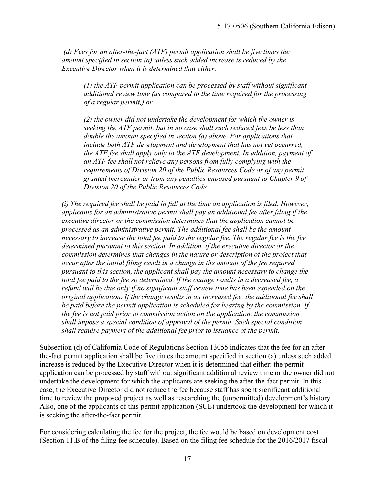*(d) Fees for an after-the-fact (ATF) permit application shall be five times the amount specified in section (a) unless such added increase is reduced by the Executive Director when it is determined that either:*

*(1) the ATF permit application can be processed by staff without significant additional review time (as compared to the time required for the processing of a regular permit,) or*

*(2) the owner did not undertake the development for which the owner is seeking the ATF permit, but in no case shall such reduced fees be less than double the amount specified in section (a) above. For applications that include both ATF development and development that has not yet occurred, the ATF fee shall apply only to the ATF development. In addition, payment of an ATF fee shall not relieve any persons from fully complying with the requirements of Division 20 of the Public Resources Code or of any permit granted thereunder or from any penalties imposed pursuant to Chapter 9 of Division 20 of the Public Resources Code.*

*(i) The required fee shall be paid in full at the time an application is filed. However, applicants for an administrative permit shall pay an additional fee after filing if the executive director or the commission determines that the application cannot be processed as an administrative permit. The additional fee shall be the amount necessary to increase the total fee paid to the regular fee. The regular fee is the fee determined pursuant to this section. In addition, if the executive director or the commission determines that changes in the nature or description of the project that occur after the initial filing result in a change in the amount of the fee required pursuant to this section, the applicant shall pay the amount necessary to change the total fee paid to the fee so determined. If the change results in a decreased fee, a refund will be due only if no significant staff review time has been expended on the original application. If the change results in an increased fee, the additional fee shall be paid before the permit application is scheduled for hearing by the commission. If the fee is not paid prior to commission action on the application, the commission shall impose a special condition of approval of the permit. Such special condition shall require payment of the additional fee prior to issuance of the permit.*

Subsection (d) of California Code of Regulations Section 13055 indicates that the fee for an afterthe-fact permit application shall be five times the amount specified in section (a) unless such added increase is reduced by the Executive Director when it is determined that either: the permit application can be processed by staff without significant additional review time or the owner did not undertake the development for which the applicants are seeking the after-the-fact permit. In this case, the Executive Director did not reduce the fee because staff has spent significant additional time to review the proposed project as well as researching the (unpermitted) development's history. Also, one of the applicants of this permit application (SCE) undertook the development for which it is seeking the after-the-fact permit.

For considering calculating the fee for the project, the fee would be based on development cost (Section 11.B of the filing fee schedule). Based on the filing fee schedule for the 2016/2017 fiscal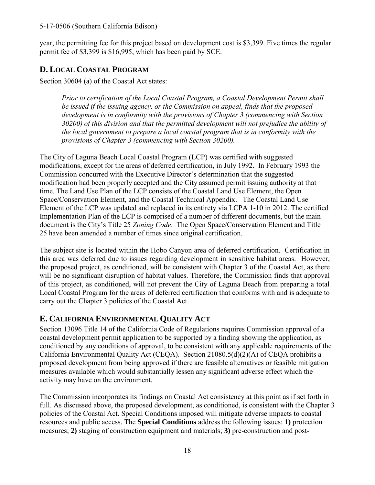year, the permitting fee for this project based on development cost is \$3,399. Five times the regular permit fee of \$3,399 is \$16,995, which has been paid by SCE.

### <span id="page-17-0"></span>**D. LOCAL COASTAL PROGRAM**

Section 30604 (a) of the Coastal Act states:

*Prior to certification of the Local Coastal Program, a Coastal Development Permit shall be issued if the issuing agency, or the Commission on appeal, finds that the proposed development is in conformity with the provisions of Chapter 3 (commencing with Section 30200) of this division and that the permitted development will not prejudice the ability of the local government to prepare a local coastal program that is in conformity with the provisions of Chapter 3 (commencing with Section 30200).*

The City of Laguna Beach Local Coastal Program (LCP) was certified with suggested modifications, except for the areas of deferred certification, in July 1992. In February 1993 the Commission concurred with the Executive Director's determination that the suggested modification had been properly accepted and the City assumed permit issuing authority at that time. The Land Use Plan of the LCP consists of the Coastal Land Use Element, the Open Space/Conservation Element, and the Coastal Technical Appendix. The Coastal Land Use Element of the LCP was updated and replaced in its entirety via LCPA 1-10 in 2012. The certified Implementation Plan of the LCP is comprised of a number of different documents, but the main document is the City's Title 25 *Zoning Code*. The Open Space/Conservation Element and Title 25 have been amended a number of times since original certification.

The subject site is located within the Hobo Canyon area of deferred certification. Certification in this area was deferred due to issues regarding development in sensitive habitat areas. However, the proposed project, as conditioned, will be consistent with Chapter 3 of the Coastal Act, as there will be no significant disruption of habitat values. Therefore, the Commission finds that approval of this project, as conditioned, will not prevent the City of Laguna Beach from preparing a total Local Coastal Program for the areas of deferred certification that conforms with and is adequate to carry out the Chapter 3 policies of the Coastal Act.

### <span id="page-17-1"></span>**E. CALIFORNIA ENVIRONMENTAL QUALITY ACT**

Section 13096 Title 14 of the California Code of Regulations requires Commission approval of a coastal development permit application to be supported by a finding showing the application, as conditioned by any conditions of approval, to be consistent with any applicable requirements of the California Environmental Quality Act (CEQA). Section 21080.5(d)(2)(A) of CEQA prohibits a proposed development from being approved if there are feasible alternatives or feasible mitigation measures available which would substantially lessen any significant adverse effect which the activity may have on the environment.

The Commission incorporates its findings on Coastal Act consistency at this point as if set forth in full. As discussed above, the proposed development, as conditioned, is consistent with the Chapter 3 policies of the Coastal Act. Special Conditions imposed will mitigate adverse impacts to coastal resources and public access. The **Special Conditions** address the following issues: **1)** protection measures; **2)** staging of construction equipment and materials; **3)** pre-construction and post